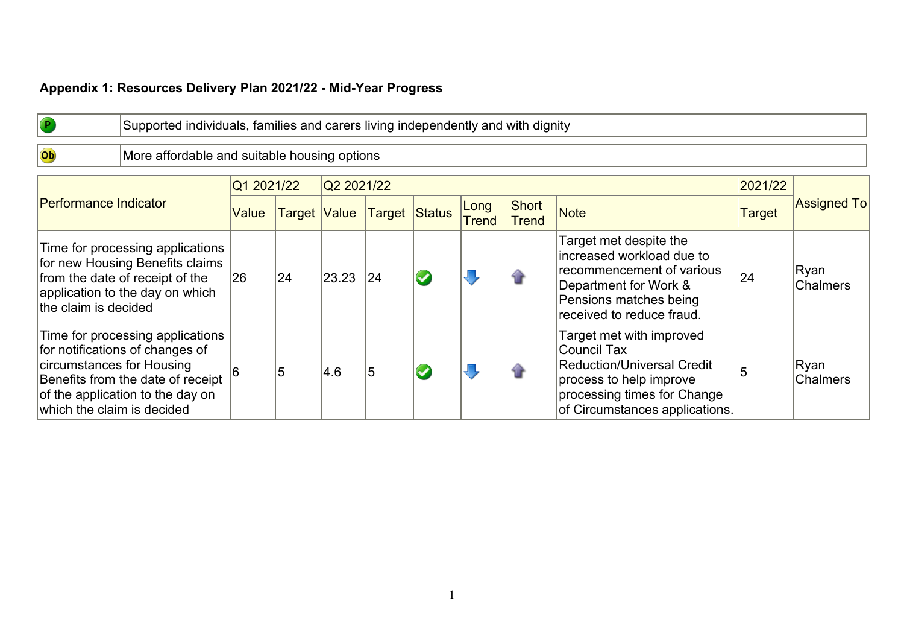## **Appendix 1: Resources Delivery Plan 2021/22 - Mid-Year Progress**

Ob

Supported individuals, families and carers living independently and with dignity

## More affordable and suitable housing options

|                                                                                                                                                                                                         | Q1 2021/22   |              | Q2 2021/22 |                      |                      |                       |                                                                                                                                                                   | 2021/22       |                    |
|---------------------------------------------------------------------------------------------------------------------------------------------------------------------------------------------------------|--------------|--------------|------------|----------------------|----------------------|-----------------------|-------------------------------------------------------------------------------------------------------------------------------------------------------------------|---------------|--------------------|
| <b>Performance Indicator</b>                                                                                                                                                                            | Value        | Target Value |            | <b>Target Status</b> | Long<br><b>Trend</b> | Short<br><b>Trend</b> | Note                                                                                                                                                              | <b>Target</b> | <b>Assigned To</b> |
| Time for processing applications<br>for new Housing Benefits claims<br>from the date of receipt of the<br>application to the day on which<br>the claim is decided                                       | $ 26\rangle$ | 24           | 23.23      | 24                   |                      |                       | Target met despite the<br>lincreased workload due to<br>recommencement of various<br>Department for Work &<br>Pensions matches being<br>received to reduce fraud. | 24            | Ryan<br>Chalmers   |
| Time for processing applications<br>for notifications of changes of<br>circumstances for Housing<br>Benefits from the date of receipt<br>of the application to the day on<br>which the claim is decided |              | 5            | 4.6        | 5                    |                      |                       | Target met with improved<br>Council Tax<br>Reduction/Universal Credit<br>process to help improve<br>processing times for Change<br>of Circumstances applications. |               | Ryan<br>Chalmers   |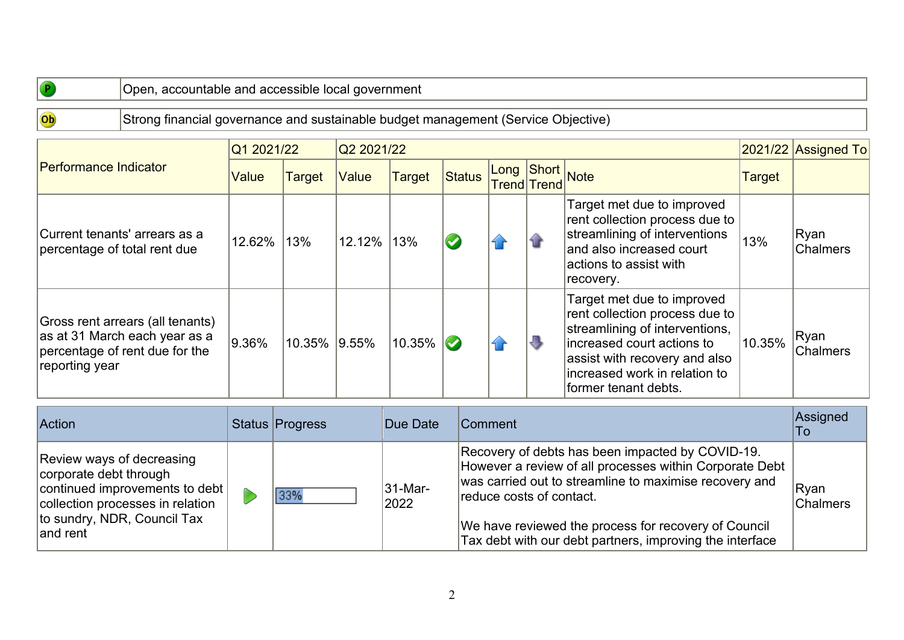Ob

## Strong financial governance and sustainable budget management (Service Objective)

|                                                                                                                       | Q1 2021/22 |               | Q2 2021/22   |               |        |                                |   |                                                                                                                                                                                                                         |               | $ 2021/22 $ Assigned To  |
|-----------------------------------------------------------------------------------------------------------------------|------------|---------------|--------------|---------------|--------|--------------------------------|---|-------------------------------------------------------------------------------------------------------------------------------------------------------------------------------------------------------------------------|---------------|--------------------------|
| <b>Performance Indicator</b>                                                                                          | Value      | <b>Target</b> | <b>Value</b> | <b>Target</b> | Status | Long Short<br>Trend Trend Note |   |                                                                                                                                                                                                                         | <b>Target</b> |                          |
| Current tenants' arrears as a<br>percentage of total rent due                                                         | 12.62%     | 13%           | 12.12%       | 13%           |        |                                |   | Target met due to improved<br>rent collection process due to<br>streamlining of interventions<br>and also increased court<br>lactions to assist with<br>recovery.                                                       | 13%           | Ryan<br><b>Chalmers</b>  |
| Gross rent arrears (all tenants)<br>as at 31 March each year as a<br>percentage of rent due for the<br>reporting year | $ 9.36\%$  | 10.35%        | $ 9.55\%$    | 10.35%        |        |                                | 1 | Target met due to improved<br>rent collection process due to<br>streamlining of interventions,<br>lincreased court actions to<br>assist with recovery and also<br>increased work in relation to<br>former tenant debts. | 10.35%        | ∣Ryan<br><b>Chalmers</b> |

| <b>Action</b>                                                                                                                                                         | Status Progress | Due Date                     | Comment                                                                                                                                                                                                                                                                                                               | Assigned<br>To          |
|-----------------------------------------------------------------------------------------------------------------------------------------------------------------------|-----------------|------------------------------|-----------------------------------------------------------------------------------------------------------------------------------------------------------------------------------------------------------------------------------------------------------------------------------------------------------------------|-------------------------|
| Review ways of decreasing<br>corporate debt through<br>continued improvements to debt<br>collection processes in relation<br>to sundry, NDR, Council Tax<br>land rent | 33%             | $ 31 - \text{Mar} -$<br>2022 | Recovery of debts has been impacted by COVID-19.<br>However a review of all processes within Corporate Debt<br>was carried out to streamline to maximise recovery and<br>reduce costs of contact.<br>We have reviewed the process for recovery of Council<br>Tax debt with our debt partners, improving the interface | Ryan<br><b>Chalmers</b> |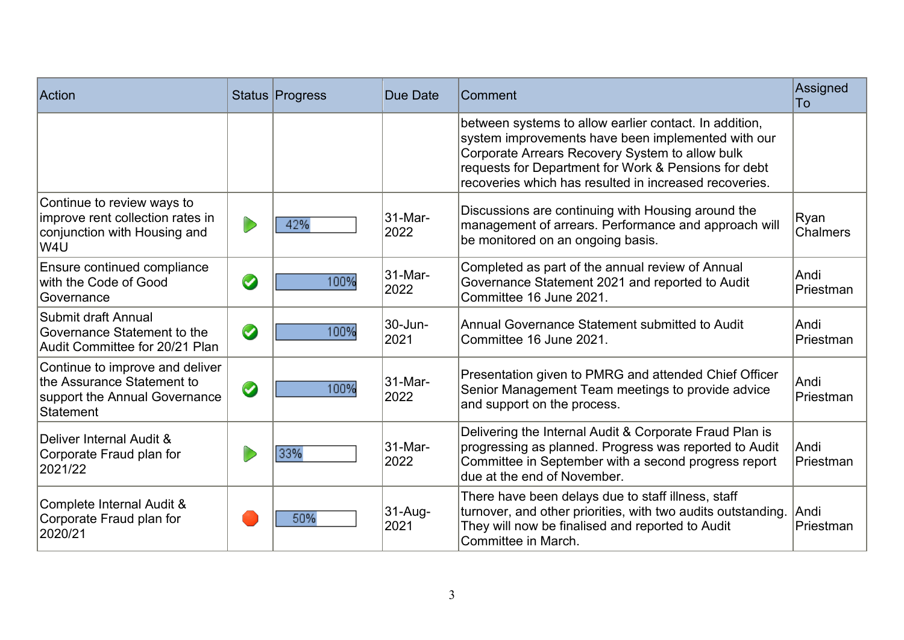| Action                                                                                                      |               | Status Progress | Due Date        | Comment                                                                                                                                                                                                                                                                           | Assigned<br>To    |
|-------------------------------------------------------------------------------------------------------------|---------------|-----------------|-----------------|-----------------------------------------------------------------------------------------------------------------------------------------------------------------------------------------------------------------------------------------------------------------------------------|-------------------|
|                                                                                                             |               |                 |                 | between systems to allow earlier contact. In addition,<br>system improvements have been implemented with our<br>Corporate Arrears Recovery System to allow bulk<br>requests for Department for Work & Pensions for debt<br>recoveries which has resulted in increased recoveries. |                   |
| Continue to review ways to<br>improve rent collection rates in<br>conjunction with Housing and<br>lW4U      |               | 42%             | 31-Mar-<br>2022 | Discussions are continuing with Housing around the<br>management of arrears. Performance and approach will<br>be monitored on an ongoing basis.                                                                                                                                   | Ryan<br>Chalmers  |
| Ensure continued compliance<br>with the Code of Good<br><b>Governance</b>                                   | $\bm{\omega}$ | 100%            | 31-Mar-<br>2022 | Completed as part of the annual review of Annual<br>Governance Statement 2021 and reported to Audit<br>Committee 16 June 2021.                                                                                                                                                    | Andi<br>Priestman |
| Submit draft Annual<br>Governance Statement to the<br>Audit Committee for 20/21 Plan                        | $\bullet$     | 100%            | 30-Jun-<br>2021 | Annual Governance Statement submitted to Audit<br>Committee 16 June 2021.                                                                                                                                                                                                         | Andi<br>Priestman |
| Continue to improve and deliver<br>the Assurance Statement to<br>support the Annual Governance<br>Statement | $\bm{\omega}$ | 100%            | 31-Mar-<br>2022 | Presentation given to PMRG and attended Chief Officer<br>Senior Management Team meetings to provide advice<br>and support on the process.                                                                                                                                         | Andi<br>Priestman |
| Deliver Internal Audit &<br>Corporate Fraud plan for<br>2021/22                                             |               | 33%             | 31-Mar-<br>2022 | Delivering the Internal Audit & Corporate Fraud Plan is<br>progressing as planned. Progress was reported to Audit<br>Committee in September with a second progress report<br>due at the end of November.                                                                          | Andi<br>Priestman |
| Complete Internal Audit &<br>Corporate Fraud plan for<br>2020/21                                            |               | 50%             | 31-Aug-<br>2021 | There have been delays due to staff illness, staff<br>turnover, and other priorities, with two audits outstanding.<br>They will now be finalised and reported to Audit<br>Committee in March.                                                                                     | Andi<br>Priestman |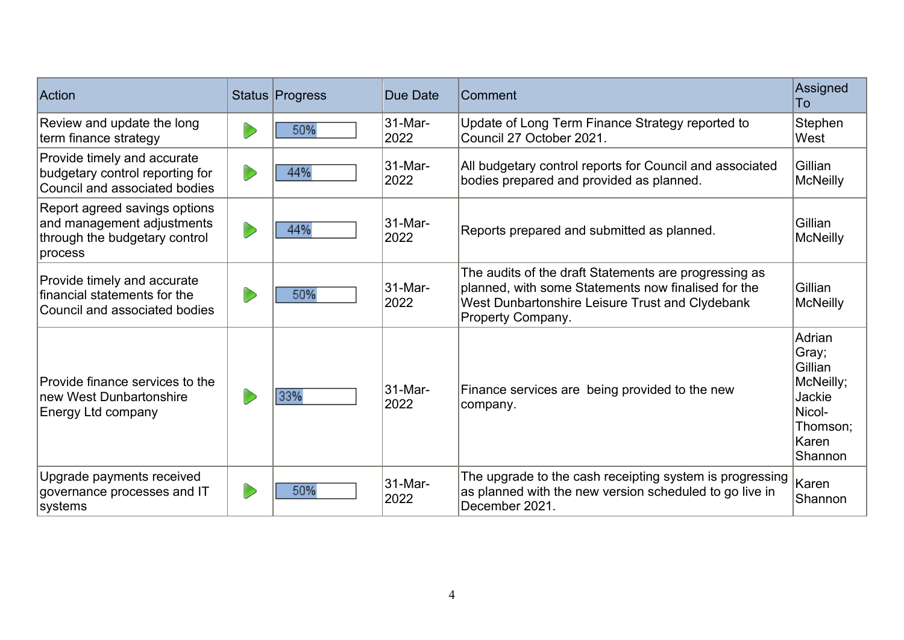| Action                                                                                                  | Status Progress | Due Date<br>Comment                                                                                                     |                                                                                                                                                                                      | Assigned<br>To                                                                              |
|---------------------------------------------------------------------------------------------------------|-----------------|-------------------------------------------------------------------------------------------------------------------------|--------------------------------------------------------------------------------------------------------------------------------------------------------------------------------------|---------------------------------------------------------------------------------------------|
| Review and update the long<br>term finance strategy                                                     | 50%             | 31-Mar-<br>2022                                                                                                         | Update of Long Term Finance Strategy reported to<br>Council 27 October 2021.                                                                                                         | Stephen<br>West                                                                             |
| Provide timely and accurate<br>budgetary control reporting for<br>Council and associated bodies         | 44%             | 31-Mar-<br>All budgetary control reports for Council and associated<br>2022<br>bodies prepared and provided as planned. |                                                                                                                                                                                      | Gillian<br><b>McNeilly</b>                                                                  |
| Report agreed savings options<br>and management adjustments<br>through the budgetary control<br>process | 44%             | 31-Mar-<br>Reports prepared and submitted as planned.<br>2022                                                           |                                                                                                                                                                                      | Gillian<br><b>McNeilly</b>                                                                  |
| Provide timely and accurate<br>financial statements for the<br>Council and associated bodies            | 50%             | 31-Mar-<br>2022                                                                                                         | The audits of the draft Statements are progressing as<br>planned, with some Statements now finalised for the<br>West Dunbartonshire Leisure Trust and Clydebank<br>Property Company. | Gillian<br><b>McNeilly</b>                                                                  |
| Provide finance services to the<br><b>Inew West Dunbartonshire</b><br>Energy Ltd company                | 33%             | 31-Mar-<br>2022                                                                                                         | Finance services are being provided to the new<br>company.                                                                                                                           | Adrian<br>Gray;<br>Gillian<br>McNeilly;<br>Jackie<br>Nicol-<br>Thomson:<br>Karen<br>Shannon |
| Upgrade payments received<br>governance processes and IT<br>systems                                     | 50%             | 31-Mar-<br>2022                                                                                                         | The upgrade to the cash receipting system is progressing<br>as planned with the new version scheduled to go live in<br>December 2021.                                                | Karen<br>Shannon                                                                            |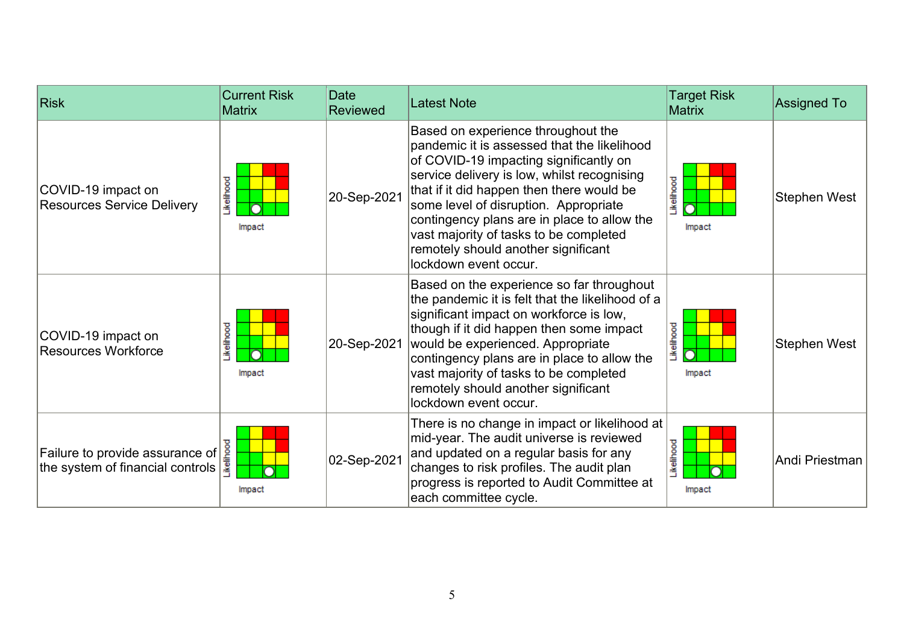| <b>Risk</b>                                                                                     | <b>Current Risk</b><br><b>Matrix</b> | <b>Date</b><br><b>Reviewed</b> | <b>Latest Note</b>                                                                                                                                                                                                                                                                                                                                                                                                        | <b>Target Risk</b><br>Matrix | <b>Assigned To</b> |
|-------------------------------------------------------------------------------------------------|--------------------------------------|--------------------------------|---------------------------------------------------------------------------------------------------------------------------------------------------------------------------------------------------------------------------------------------------------------------------------------------------------------------------------------------------------------------------------------------------------------------------|------------------------------|--------------------|
| COVID-19 impact on<br><b>Resources Service Delivery</b>                                         | <b>Jkelihood</b><br>Impact           | 20-Sep-2021                    | Based on experience throughout the<br>pandemic it is assessed that the likelihood<br>of COVID-19 impacting significantly on<br>service delivery is low, whilst recognising<br>that if it did happen then there would be<br>some level of disruption. Appropriate<br>contingency plans are in place to allow the<br>vast majority of tasks to be completed<br>remotely should another significant<br>lockdown event occur. | <b>ikelihood</b><br>Impact   | Stephen West       |
| COVID-19 impact on<br><b>Resources Workforce</b>                                                | ikelihood<br>Impact                  | 20-Sep-2021                    | Based on the experience so far throughout<br>the pandemic it is felt that the likelihood of a<br>significant impact on workforce is low,<br>though if it did happen then some impact<br>would be experienced. Appropriate<br>contingency plans are in place to allow the<br>vast majority of tasks to be completed<br>remotely should another significant<br>lockdown event occur.                                        | <b>ikelihood</b><br>Impact   | Stephen West       |
| Failure to provide assurance of $\frac{8}{2}$<br>the system of financial controls $\frac{1}{2}$ | Impact                               | 02-Sep-2021                    | There is no change in impact or likelihood at $\mid$<br>mid-year. The audit universe is reviewed<br>and updated on a regular basis for any<br>changes to risk profiles. The audit plan<br>progress is reported to Audit Committee at<br>each committee cycle.                                                                                                                                                             | <b>ikelihood</b><br>Impact   | Andi Priestman     |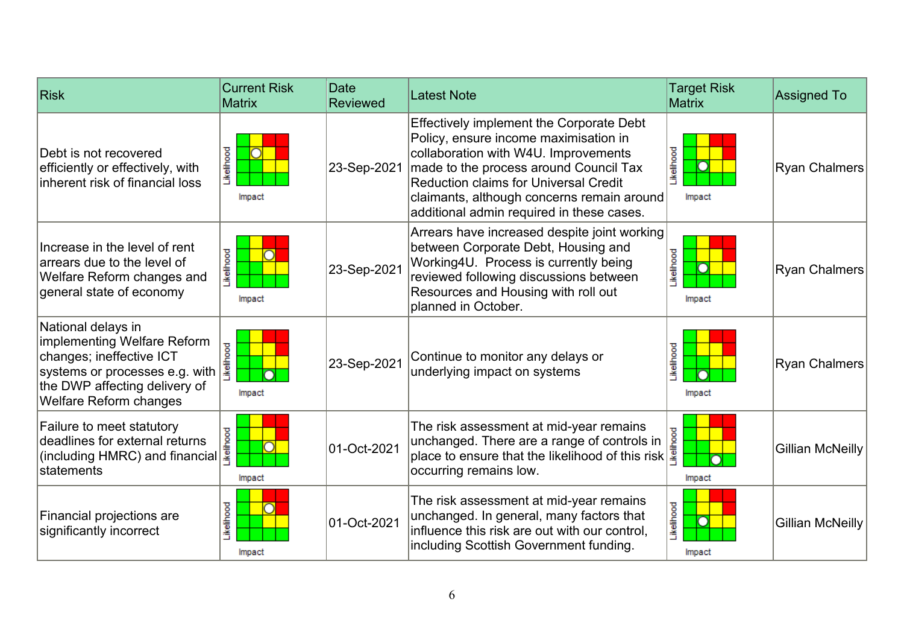| <b>Risk</b>                                                                                                                                                                | <b>Current Risk</b><br><b>Matrix</b> | Date<br><b>Reviewed</b> | <b>Latest Note</b>                                                                                                                                                                                                                                                                                                    | <b>Target Risk</b><br><b>Matrix</b> | <b>Assigned To</b>   |
|----------------------------------------------------------------------------------------------------------------------------------------------------------------------------|--------------------------------------|-------------------------|-----------------------------------------------------------------------------------------------------------------------------------------------------------------------------------------------------------------------------------------------------------------------------------------------------------------------|-------------------------------------|----------------------|
| Debt is not recovered<br>efficiently or effectively, with<br>linherent risk of financial loss                                                                              | <b>kelihood</b><br>Impact            | 23-Sep-2021             | <b>Effectively implement the Corporate Debt</b><br>Policy, ensure income maximisation in<br>collaboration with W4U. Improvements<br>made to the process around Council Tax<br><b>Reduction claims for Universal Credit</b><br>claimants, although concerns remain around<br>additional admin required in these cases. | <b>ikelihood</b><br>Impact          | Ryan Chalmers        |
| Increase in the level of rent<br>arrears due to the level of<br><b>Welfare Reform changes and</b><br>general state of economy                                              | Likelihood<br>Impact                 | 23-Sep-2021             | Arrears have increased despite joint working<br>between Corporate Debt, Housing and<br>Working4U. Process is currently being<br>reviewed following discussions between<br>Resources and Housing with roll out<br>planned in October.                                                                                  | <b>kelihood</b><br>Ō<br>Impact      | <b>Ryan Chalmers</b> |
| National delays in<br>implementing Welfare Reform<br>changes; ineffective ICT<br>systems or processes e.g. with<br>the DWP affecting delivery of<br>Welfare Reform changes | ikelihood<br>Impact                  | 23-Sep-2021             | Continue to monitor any delays or<br>underlying impact on systems                                                                                                                                                                                                                                                     | <b>kelihood</b><br>Impact           | <b>Ryan Chalmers</b> |
| <b>Failure to meet statutory</b><br>Failure to meet statutory<br>deadlines for external returns<br>(including HMRC) and financial<br>Istatements                           | Impact                               | 01-Oct-2021             | The risk assessment at mid-year remains<br>The risk assessment at mid-year remains<br>unchanged. There are a range of controls in<br>place to ensure that the likelihood of this risk<br>occurring remains low.                                                                                                       | Impact                              | Gillian McNeilly     |
| Financial projections are<br>significantly incorrect                                                                                                                       | <b>kelihood</b><br>Impact            | 01-Oct-2021             | The risk assessment at mid-year remains<br>unchanged. In general, many factors that<br>influence this risk are out with our control,<br>including Scottish Government funding.                                                                                                                                        | Likelihood<br>lmpact                | Gillian McNeilly     |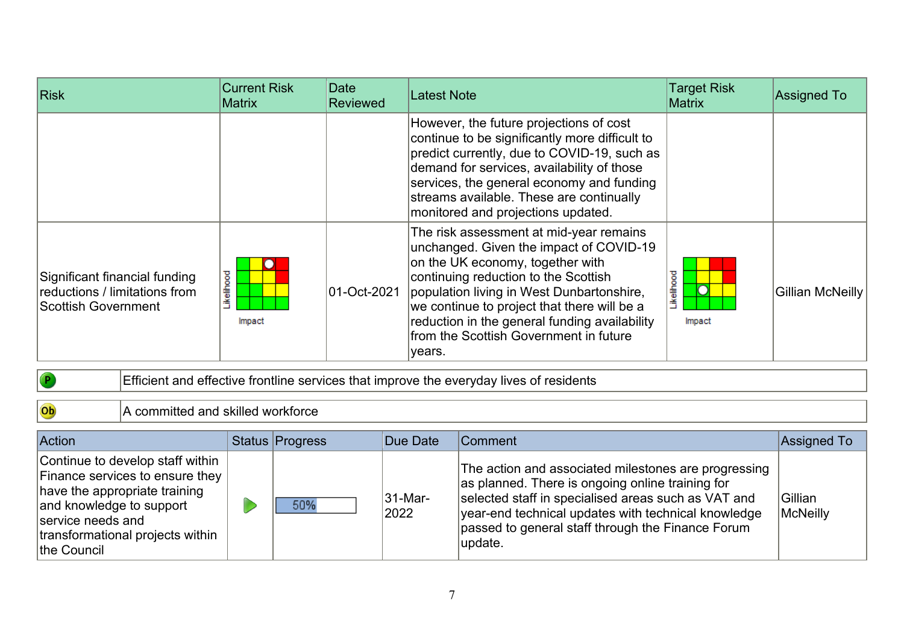| Risk                                                                                  | <b>Current Risk</b><br><b>Matrix</b> | Date<br><b>Reviewed</b> | <b>Latest Note</b>                                                                                                                                                                                                                                                                                                                                              | <b>Target Risk</b><br>Matrix    | <b>Assigned To</b> |
|---------------------------------------------------------------------------------------|--------------------------------------|-------------------------|-----------------------------------------------------------------------------------------------------------------------------------------------------------------------------------------------------------------------------------------------------------------------------------------------------------------------------------------------------------------|---------------------------------|--------------------|
|                                                                                       |                                      |                         | However, the future projections of cost<br>continue to be significantly more difficult to<br>predict currently, due to COVID-19, such as<br>demand for services, availability of those<br>services, the general economy and funding<br>streams available. These are continually<br>monitored and projections updated.                                           |                                 |                    |
| Significant financial funding<br>reductions / limitations from<br>Scottish Government | .ikelihood<br>Impact                 | 01-Oct-2021             | The risk assessment at mid-year remains<br>unchanged. Given the impact of COVID-19<br>on the UK economy, together with<br>continuing reduction to the Scottish<br>population living in West Dunbartonshire,<br>we continue to project that there will be a<br>reduction in the general funding availability<br>from the Scottish Government in future<br>years. | <b>Ikelihood</b><br>Ō<br>Impact | Gillian McNeilly   |

 $\bullet$ 

Efficient and effective frontline services that improve the everyday lives of residents

Ob A committed and skilled workforce

| <b>Action</b>                                                                                                                                                                                            | Status Progress | Due Date               | Comment                                                                                                                                                                                                                                                                                | <b>Assigned To</b>         |
|----------------------------------------------------------------------------------------------------------------------------------------------------------------------------------------------------------|-----------------|------------------------|----------------------------------------------------------------------------------------------------------------------------------------------------------------------------------------------------------------------------------------------------------------------------------------|----------------------------|
| Continue to develop staff within<br>Finance services to ensure they<br>have the appropriate training<br>and knowledge to support<br>service needs and<br>transformational projects within<br>the Council | 50%             | <b>31-Mar-</b><br>2022 | The action and associated milestones are progressing<br>as planned. There is ongoing online training for<br>selected staff in specialised areas such as VAT and<br>year-end technical updates with technical knowledge<br>passed to general staff through the Finance Forum<br>update. | <b>Gillian</b><br>McNeilly |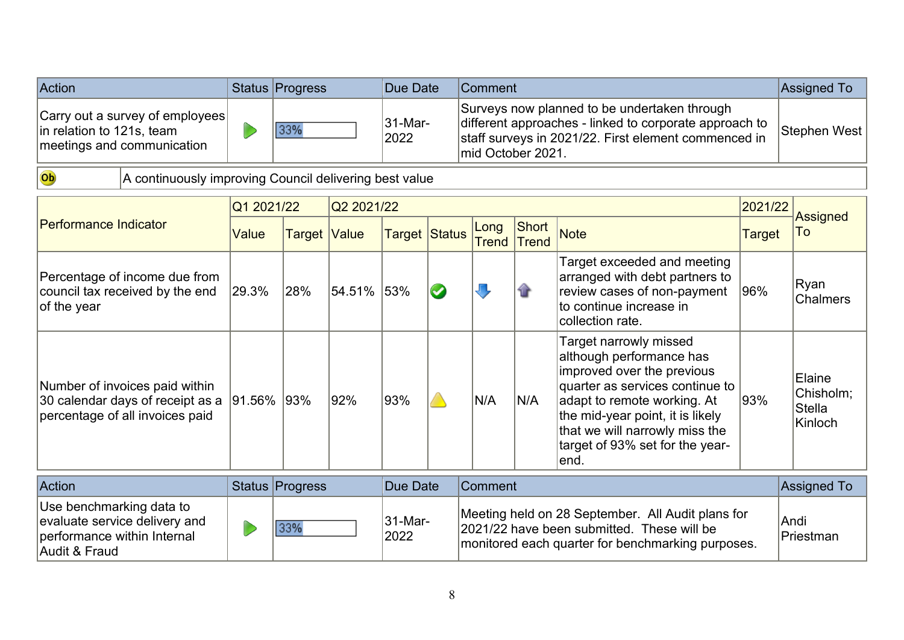| <b>Action</b>                                                                                         | Status Progress | Due Date        | lComment                                                                                                                                                                             | Assigned To  |
|-------------------------------------------------------------------------------------------------------|-----------------|-----------------|--------------------------------------------------------------------------------------------------------------------------------------------------------------------------------------|--------------|
| $ Carry$ out a survey of employees<br>$\vert$ in relation to 121s, team<br>meetings and communication | 33%             | 31-Mar-<br>2022 | Surveys now planned to be undertaken through<br>different approaches - linked to corporate approach to<br>staff surveys in 2021/22. First element commenced in<br>Imid October 2021. | Stephen West |

Ob

A continuously improving Council delivering best value

|                                                                                                           | Q1 2021/22 |                     | Q2 2021/22 |                 |           |                                                                                                                                                      |                | 2021/22                                                                                                                                                                                                                                                             | <b>Assigned</b> |                                                 |
|-----------------------------------------------------------------------------------------------------------|------------|---------------------|------------|-----------------|-----------|------------------------------------------------------------------------------------------------------------------------------------------------------|----------------|---------------------------------------------------------------------------------------------------------------------------------------------------------------------------------------------------------------------------------------------------------------------|-----------------|-------------------------------------------------|
| Performance Indicator                                                                                     | Value      | <b>Target Value</b> |            | Target Status   |           | Long<br><b>Trend</b>                                                                                                                                 | Short<br>Trend | <b>Note</b>                                                                                                                                                                                                                                                         | Target          | To                                              |
| Percentage of income due from<br>council tax received by the end<br>of the year                           | 29.3%      | 28%                 | 54.51%     | 53%             | $\bullet$ | U                                                                                                                                                    |                | Target exceeded and meeting<br>arranged with debt partners to<br>review cases of non-payment<br>to continue increase in<br>collection rate.                                                                                                                         | 96%             | Ryan<br><b>Chalmers</b>                         |
| Number of invoices paid within<br>30 calendar days of receipt as a<br>percentage of all invoices paid     | 91.56% 93% |                     | 92%        | 93%             |           | N/A                                                                                                                                                  | N/A            | Target narrowly missed<br>although performance has<br>improved over the previous<br>quarter as services continue to<br>adapt to remote working. At<br>the mid-year point, it is likely<br>that we will narrowly miss the<br>target of 93% set for the year-<br>end. | 93%             | Elaine<br>Chisholm;<br><b>Stella</b><br>Kinloch |
| Action                                                                                                    |            | Status Progress     |            | <b>Due Date</b> |           | Comment                                                                                                                                              |                |                                                                                                                                                                                                                                                                     |                 | <b>Assigned To</b>                              |
| Use benchmarking data to<br>evaluate service delivery and<br>performance within Internal<br>Audit & Fraud |            | 33%                 |            | 31-Mar-<br>2022 |           | Meeting held on 28 September. All Audit plans for<br>2021/22 have been submitted. These will be<br>monitored each quarter for benchmarking purposes. |                |                                                                                                                                                                                                                                                                     |                 | Andi<br>Priestman                               |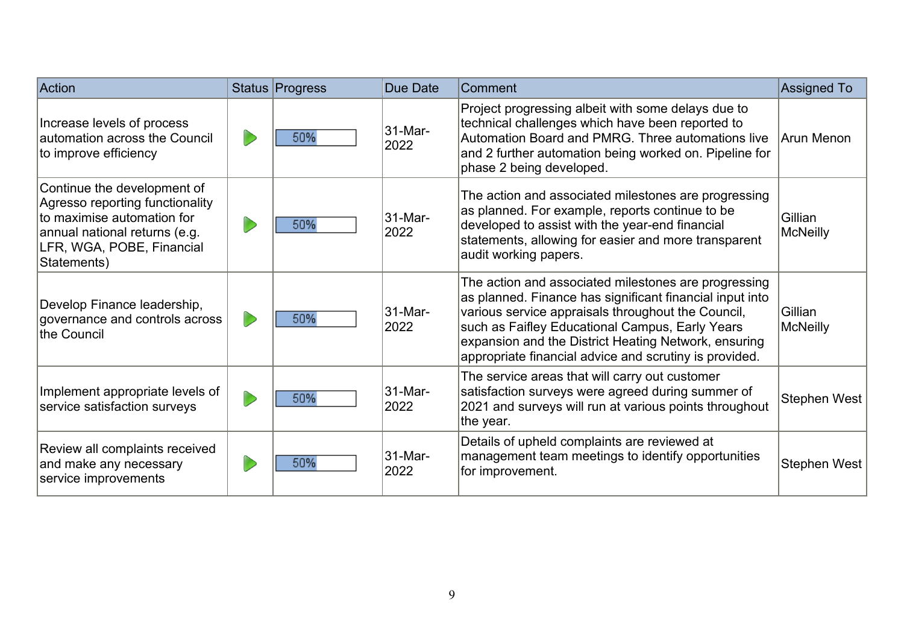| Action                                                                                                                                                                    | <b>Status Progress</b> | Due Date        | Comment                                                                                                                                                                                                                                                                                                                                     | Assigned To                |
|---------------------------------------------------------------------------------------------------------------------------------------------------------------------------|------------------------|-----------------|---------------------------------------------------------------------------------------------------------------------------------------------------------------------------------------------------------------------------------------------------------------------------------------------------------------------------------------------|----------------------------|
| Increase levels of process<br>automation across the Council<br>to improve efficiency                                                                                      | 50%                    | 31-Mar-<br>2022 | Project progressing albeit with some delays due to<br>technical challenges which have been reported to<br>Automation Board and PMRG. Three automations live<br>and 2 further automation being worked on. Pipeline for<br>phase 2 being developed.                                                                                           | Arun Menon                 |
| Continue the development of<br>Agresso reporting functionality<br>to maximise automation for<br>annual national returns (e.g.<br>LFR, WGA, POBE, Financial<br>Statements) | 50%                    | 31-Mar-<br>2022 | The action and associated milestones are progressing<br>as planned. For example, reports continue to be<br>developed to assist with the year-end financial<br>statements, allowing for easier and more transparent<br>audit working papers.                                                                                                 | Gillian<br>McNeilly        |
| Develop Finance leadership,<br>governance and controls across<br>the Council                                                                                              | 50%                    | 31-Mar-<br>2022 | The action and associated milestones are progressing<br>as planned. Finance has significant financial input into<br>various service appraisals throughout the Council,<br>such as Faifley Educational Campus, Early Years<br>expansion and the District Heating Network, ensuring<br>appropriate financial advice and scrutiny is provided. | Gillian<br><b>McNeilly</b> |
| Implement appropriate levels of<br>service satisfaction surveys                                                                                                           | 50%                    | 31-Mar-<br>2022 | The service areas that will carry out customer<br>satisfaction surveys were agreed during summer of<br>2021 and surveys will run at various points throughout<br>the year.                                                                                                                                                                  | <b>Stephen West</b>        |
| Review all complaints received<br>and make any necessary<br>service improvements                                                                                          | 50%                    | 31-Mar-<br>2022 | Details of upheld complaints are reviewed at<br>management team meetings to identify opportunities<br>for improvement.                                                                                                                                                                                                                      | Stephen West               |